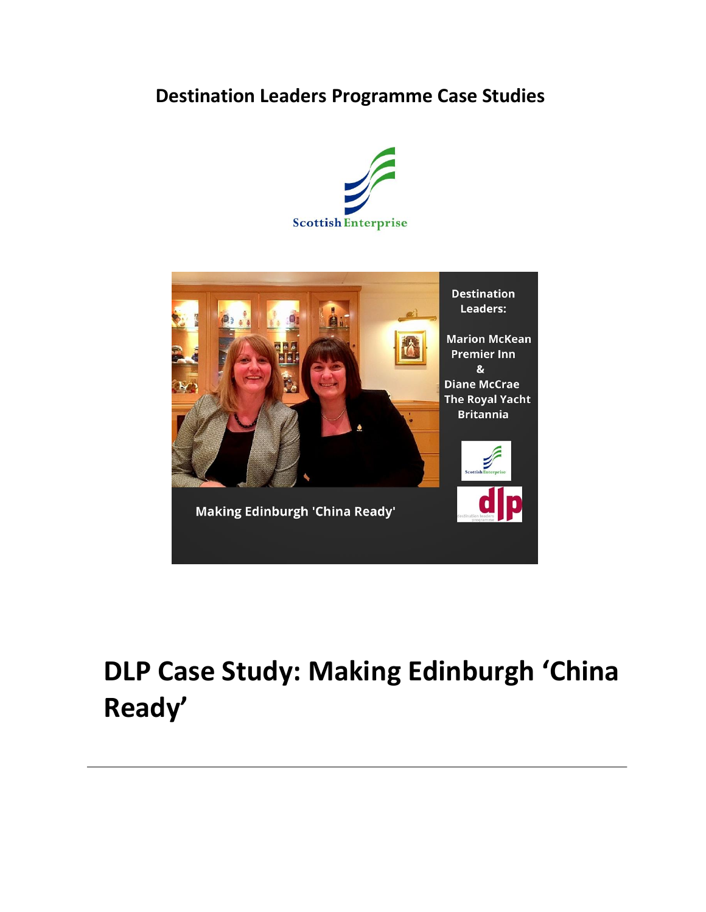# **Destination Leaders Programme Case Studies**





# **DLP Case Study: Making Edinburgh 'China Ready'**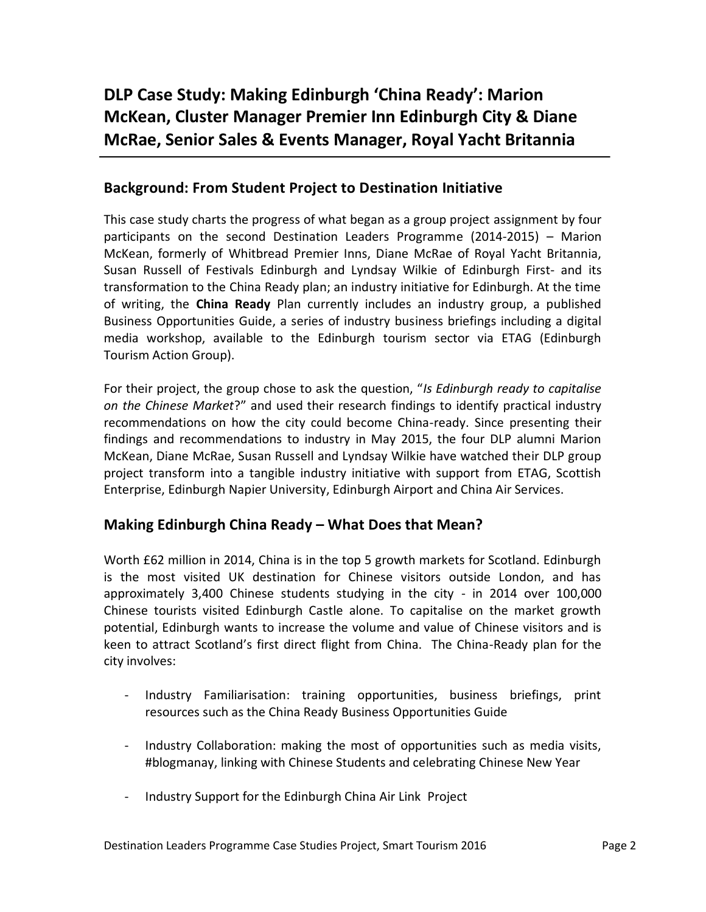# **DLP Case Study: Making Edinburgh 'China Ready': Marion McKean, Cluster Manager Premier Inn Edinburgh City & Diane McRae, Senior Sales & Events Manager, Royal Yacht Britannia**

#### **Background: From Student Project to Destination Initiative**

This case study charts the progress of what began as a group project assignment by four participants on the second Destination Leaders Programme (2014-2015) – Marion McKean, formerly of Whitbread Premier Inns, Diane McRae of Royal Yacht Britannia, Susan Russell of Festivals Edinburgh and Lyndsay Wilkie of Edinburgh First- and its transformation to the China Ready plan; an industry initiative for Edinburgh. At the time of writing, the **China Ready** Plan currently includes an industry group, a published Business Opportunities Guide, a series of industry business briefings including a digital media workshop, available to the Edinburgh tourism sector via ETAG (Edinburgh Tourism Action Group).

For their project, the group chose to ask the question, "*Is Edinburgh ready to capitalise on the Chinese Market*?" and used their research findings to identify practical industry recommendations on how the city could become China-ready. Since presenting their findings and recommendations to industry in May 2015, the four DLP alumni Marion McKean, Diane McRae, Susan Russell and Lyndsay Wilkie have watched their DLP group project transform into a tangible industry initiative with support from ETAG, Scottish Enterprise, Edinburgh Napier University, Edinburgh Airport and China Air Services.

#### **Making Edinburgh China Ready – What Does that Mean?**

Worth £62 million in 2014, China is in the top 5 growth markets for Scotland. Edinburgh is the most visited UK destination for Chinese visitors outside London, and has approximately 3,400 Chinese students studying in the city - in 2014 over 100,000 Chinese tourists visited Edinburgh Castle alone. To capitalise on the market growth potential, Edinburgh wants to increase the volume and value of Chinese visitors and is keen to attract Scotland's first direct flight from China. The China-Ready plan for the city involves:

- Industry Familiarisation: training opportunities, business briefings, print resources such as the China Ready Business Opportunities Guide
- Industry Collaboration: making the most of opportunities such as media visits, #blogmanay, linking with Chinese Students and celebrating Chinese New Year
- Industry Support for the Edinburgh China Air Link Project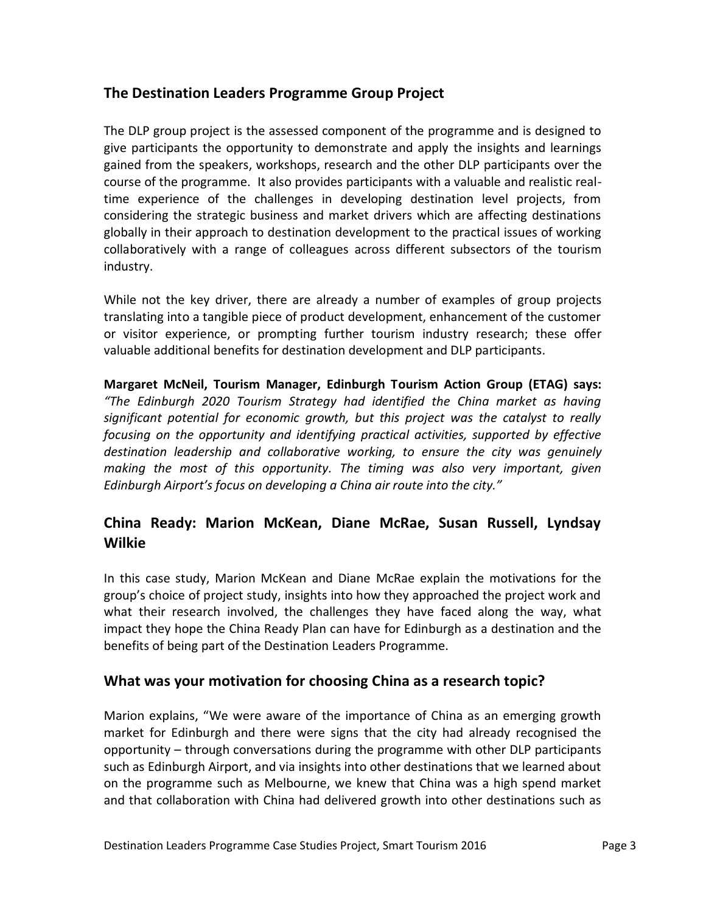#### **The Destination Leaders Programme Group Project**

The DLP group project is the assessed component of the programme and is designed to give participants the opportunity to demonstrate and apply the insights and learnings gained from the speakers, workshops, research and the other DLP participants over the course of the programme. It also provides participants with a valuable and realistic realtime experience of the challenges in developing destination level projects, from considering the strategic business and market drivers which are affecting destinations globally in their approach to destination development to the practical issues of working collaboratively with a range of colleagues across different subsectors of the tourism industry.

While not the key driver, there are already a number of examples of group projects translating into a tangible piece of product development, enhancement of the customer or visitor experience, or prompting further tourism industry research; these offer valuable additional benefits for destination development and DLP participants.

**Margaret McNeil, Tourism Manager, Edinburgh Tourism Action Group (ETAG) says:** *"The Edinburgh 2020 Tourism Strategy had identified the China market as having significant potential for economic growth, but this project was the catalyst to really focusing on the opportunity and identifying practical activities, supported by effective destination leadership and collaborative working, to ensure the city was genuinely making the most of this opportunity. The timing was also very important, given Edinburgh Airport's focus on developing a China air route into the city."*

## **China Ready: Marion McKean, Diane McRae, Susan Russell, Lyndsay Wilkie**

In this case study, Marion McKean and Diane McRae explain the motivations for the group's choice of project study, insights into how they approached the project work and what their research involved, the challenges they have faced along the way, what impact they hope the China Ready Plan can have for Edinburgh as a destination and the benefits of being part of the Destination Leaders Programme.

#### **What was your motivation for choosing China as a research topic?**

Marion explains, "We were aware of the importance of China as an emerging growth market for Edinburgh and there were signs that the city had already recognised the opportunity – through conversations during the programme with other DLP participants such as Edinburgh Airport, and via insights into other destinations that we learned about on the programme such as Melbourne, we knew that China was a high spend market and that collaboration with China had delivered growth into other destinations such as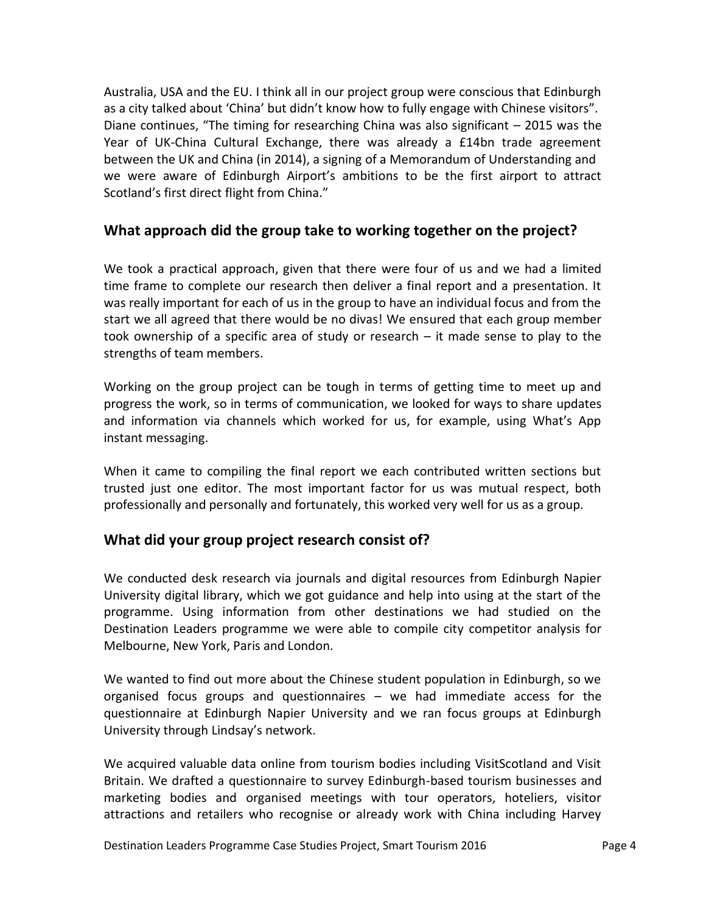Australia, USA and the EU. I think all in our project group were conscious that Edinburgh as a city talked about 'China' but didn't know how to fully engage with Chinese visitors". Diane continues, "The timing for researching China was also significant – 2015 was the Year of UK-China Cultural Exchange, there was already a £14bn trade agreement between the UK and China (in 2014), a signing of a Memorandum of Understanding and we were aware of Edinburgh Airport's ambitions to be the first airport to attract Scotland's first direct flight from China."

#### **What approach did the group take to working together on the project?**

We took a practical approach, given that there were four of us and we had a limited time frame to complete our research then deliver a final report and a presentation. It was really important for each of us in the group to have an individual focus and from the start we all agreed that there would be no divas! We ensured that each group member took ownership of a specific area of study or research – it made sense to play to the strengths of team members.

Working on the group project can be tough in terms of getting time to meet up and progress the work, so in terms of communication, we looked for ways to share updates and information via channels which worked for us, for example, using What's App instant messaging.

When it came to compiling the final report we each contributed written sections but trusted just one editor. The most important factor for us was mutual respect, both professionally and personally and fortunately, this worked very well for us as a group.

#### **What did your group project research consist of?**

We conducted desk research via journals and digital resources from Edinburgh Napier University digital library, which we got guidance and help into using at the start of the programme. Using information from other destinations we had studied on the Destination Leaders programme we were able to compile city competitor analysis for Melbourne, New York, Paris and London.

We wanted to find out more about the Chinese student population in Edinburgh, so we organised focus groups and questionnaires – we had immediate access for the questionnaire at Edinburgh Napier University and we ran focus groups at Edinburgh University through Lindsay's network.

We acquired valuable data online from tourism bodies including VisitScotland and Visit Britain. We drafted a questionnaire to survey Edinburgh-based tourism businesses and marketing bodies and organised meetings with tour operators, hoteliers, visitor attractions and retailers who recognise or already work with China including Harvey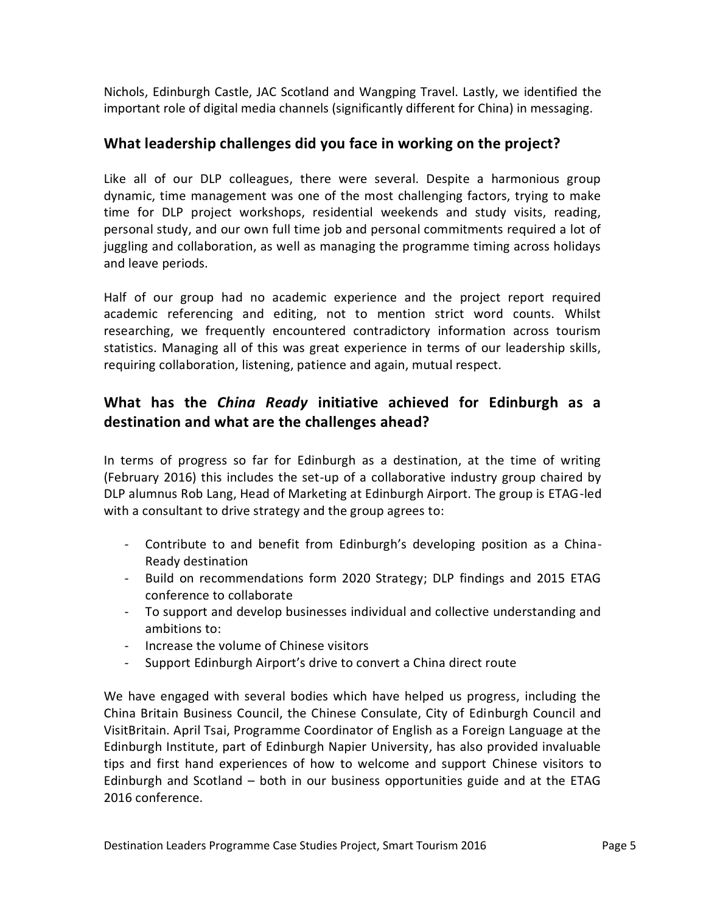Nichols, Edinburgh Castle, JAC Scotland and Wangping Travel. Lastly, we identified the important role of digital media channels (significantly different for China) in messaging.

#### **What leadership challenges did you face in working on the project?**

Like all of our DLP colleagues, there were several. Despite a harmonious group dynamic, time management was one of the most challenging factors, trying to make time for DLP project workshops, residential weekends and study visits, reading, personal study, and our own full time job and personal commitments required a lot of juggling and collaboration, as well as managing the programme timing across holidays and leave periods.

Half of our group had no academic experience and the project report required academic referencing and editing, not to mention strict word counts. Whilst researching, we frequently encountered contradictory information across tourism statistics. Managing all of this was great experience in terms of our leadership skills, requiring collaboration, listening, patience and again, mutual respect.

# **What has the** *China Ready* **initiative achieved for Edinburgh as a destination and what are the challenges ahead?**

In terms of progress so far for Edinburgh as a destination, at the time of writing (February 2016) this includes the set-up of a collaborative industry group chaired by DLP alumnus Rob Lang, Head of Marketing at Edinburgh Airport. The group is ETAG-led with a consultant to drive strategy and the group agrees to:

- Contribute to and benefit from Edinburgh's developing position as a China-Ready destination
- Build on recommendations form 2020 Strategy; DLP findings and 2015 ETAG conference to collaborate
- To support and develop businesses individual and collective understanding and ambitions to:
- Increase the volume of Chinese visitors
- Support Edinburgh Airport's drive to convert a China direct route

We have engaged with several bodies which have helped us progress, including the China Britain Business Council, the Chinese Consulate, City of Edinburgh Council and VisitBritain. April Tsai, Programme Coordinator of English as a Foreign Language at the Edinburgh Institute, part of Edinburgh Napier University, has also provided invaluable tips and first hand experiences of how to welcome and support Chinese visitors to Edinburgh and Scotland – both in our business opportunities guide and at the ETAG 2016 conference.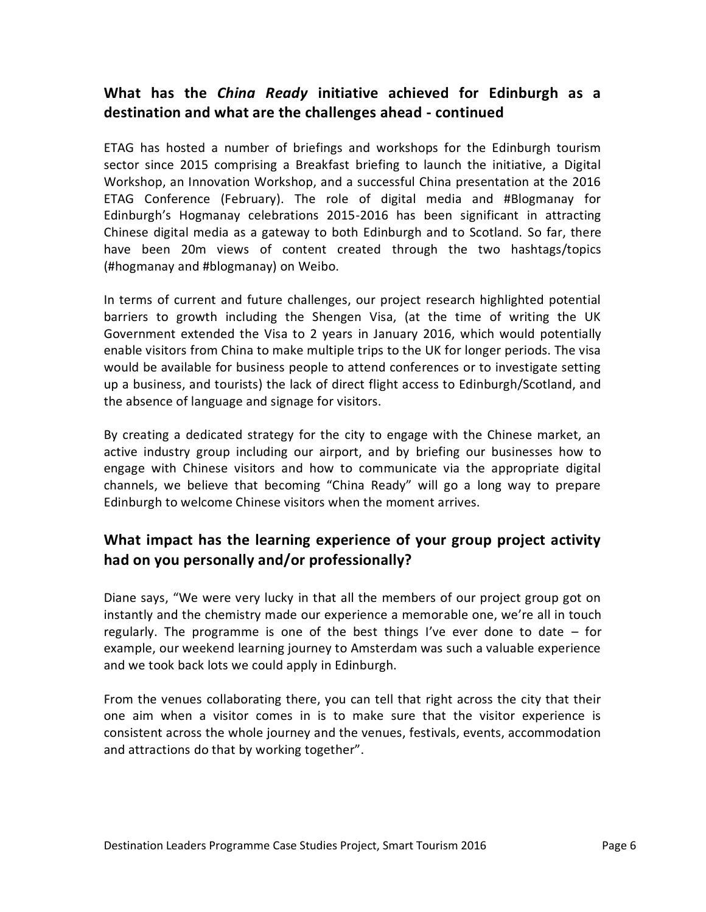## **What has the** *China Ready* **initiative achieved for Edinburgh as a destination and what are the challenges ahead - continued**

ETAG has hosted a number of briefings and workshops for the Edinburgh tourism sector since 2015 comprising a Breakfast briefing to launch the initiative, a Digital Workshop, an Innovation Workshop, and a successful China presentation at the 2016 ETAG Conference (February). The role of digital media and #Blogmanay for Edinburgh's Hogmanay celebrations 2015-2016 has been significant in attracting Chinese digital media as a gateway to both Edinburgh and to Scotland. So far, there have been 20m views of content created through the two hashtags/topics (#hogmanay and #blogmanay) on Weibo.

In terms of current and future challenges, our project research highlighted potential barriers to growth including the Shengen Visa, (at the time of writing the UK Government extended the Visa to 2 years in January 2016, which would potentially enable visitors from China to make multiple trips to the UK for longer periods. The visa would be available for business people to attend conferences or to investigate setting up a business, and tourists) the lack of direct flight access to Edinburgh/Scotland, and the absence of language and signage for visitors.

By creating a dedicated strategy for the city to engage with the Chinese market, an active industry group including our airport, and by briefing our businesses how to engage with Chinese visitors and how to communicate via the appropriate digital channels, we believe that becoming "China Ready" will go a long way to prepare Edinburgh to welcome Chinese visitors when the moment arrives.

# **What impact has the learning experience of your group project activity had on you personally and/or professionally?**

Diane says, "We were very lucky in that all the members of our project group got on instantly and the chemistry made our experience a memorable one, we're all in touch regularly. The programme is one of the best things I've ever done to date – for example, our weekend learning journey to Amsterdam was such a valuable experience and we took back lots we could apply in Edinburgh.

From the venues collaborating there, you can tell that right across the city that their one aim when a visitor comes in is to make sure that the visitor experience is consistent across the whole journey and the venues, festivals, events, accommodation and attractions do that by working together".